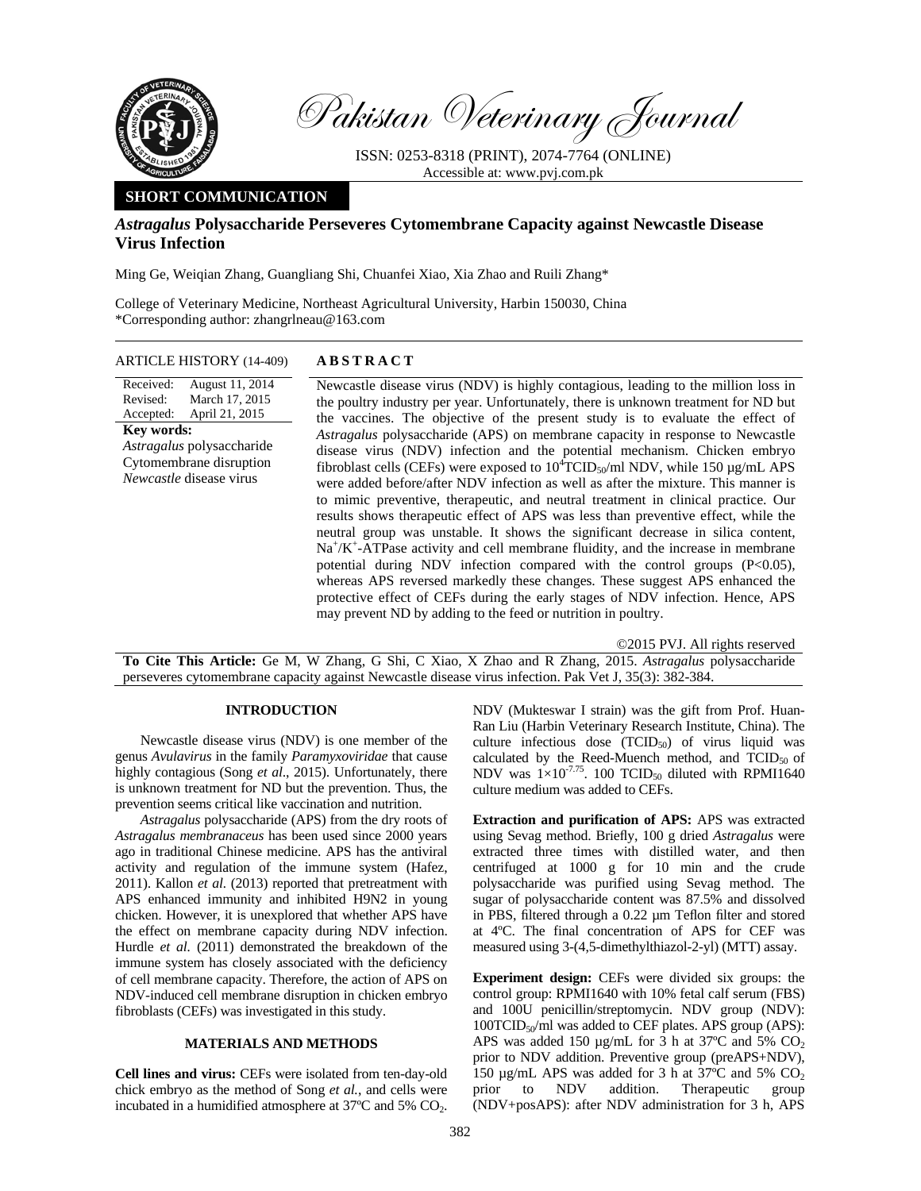

Pakistan Veterinary Journal

ISSN: 0253-8318 (PRINT), 2074-7764 (ONLINE) Accessible at: www.pvj.com.pk

# **SHORT COMMUNICATION**

## *Astragalus* **Polysaccharide Perseveres Cytomembrane Capacity against Newcastle Disease Virus Infection**

Ming Ge, Weiqian Zhang, Guangliang Shi, Chuanfei Xiao, Xia Zhao and Ruili Zhang\*

College of Veterinary Medicine, Northeast Agricultural University, Harbin 150030, China \*Corresponding author: zhangrlneau@163.com

#### ARTICLE HISTORY (14-409) **ABSTRACT**

Received: Revised: Accepted: August 11, 2014 March 17, 2015 April 21, 2015 **Key words:**  *Astragalus* polysaccharide Cytomembrane disruption *Newcastle* disease virus

 Newcastle disease virus (NDV) is highly contagious, leading to the million loss in the poultry industry per year. Unfortunately, there is unknown treatment for ND but the vaccines. The objective of the present study is to evaluate the effect of *Astragalus* polysaccharide (APS) on membrane capacity in response to Newcastle disease virus (NDV) infection and the potential mechanism. Chicken embryo fibroblast cells (CEFs) were exposed to  $10^4$ TCID<sub>50</sub>/ml NDV, while 150 µg/mL APS were added before/after NDV infection as well as after the mixture. This manner is to mimic preventive, therapeutic, and neutral treatment in clinical practice. Our results shows therapeutic effect of APS was less than preventive effect, while the neutral group was unstable. It shows the significant decrease in silica content, Na<sup>+</sup>/K<sup>+</sup>-ATPase activity and cell membrane fluidity, and the increase in membrane potential during NDV infection compared with the control groups  $(P<0.05)$ , whereas APS reversed markedly these changes. These suggest APS enhanced the protective effect of CEFs during the early stages of NDV infection. Hence, APS may prevent ND by adding to the feed or nutrition in poultry.

©2015 PVJ. All rights reserved **To Cite This Article:** Ge M, W Zhang, G Shi, C Xiao, X Zhao and R Zhang, 2015. *Astragalus* polysaccharide perseveres cytomembrane capacity against Newcastle disease virus infection. Pak Vet J, 35(3): 382-384.

#### **INTRODUCTION**

Newcastle disease virus (NDV) is one member of the genus *Avulavirus* in the family *Paramyxoviridae* that cause highly contagious (Song *et al*., 2015). Unfortunately, there is unknown treatment for ND but the prevention. Thus, the prevention seems critical like vaccination and nutrition.

*Astragalus* polysaccharide (APS) from the dry roots of *Astragalus membranaceus* has been used since 2000 years ago in traditional Chinese medicine. APS has the antiviral activity and regulation of the immune system (Hafez, 2011). Kallon *et al.* (2013) reported that pretreatment with APS enhanced immunity and inhibited H9N2 in young chicken. However, it is unexplored that whether APS have the effect on membrane capacity during NDV infection. Hurdle *et al.* (2011) demonstrated the breakdown of the immune system has closely associated with the deficiency of cell membrane capacity. Therefore, the action of APS on NDV-induced cell membrane disruption in chicken embryo fibroblasts (CEFs) was investigated in this study.

### **MATERIALS AND METHODS**

**Cell lines and virus:** CEFs were isolated from ten-day-old chick embryo as the method of Song *et al.*, and cells were incubated in a humidified atmosphere at 37ºC and 5% CO2.

NDV (Mukteswar I strain) was the gift from Prof. Huan-Ran Liu (Harbin Veterinary Research Institute, China). The culture infectious dose  $(TCID_{50})$  of virus liquid was calculated by the Reed-Muench method, and  $TCID_{50}$  of NDV was  $1\times10^{-7.75}$ . 100 TCID<sub>50</sub> diluted with RPMI1640 culture medium was added to CEFs.

**Extraction and purification of APS:** APS was extracted using Sevag method. Briefly, 100 g dried *Astragalus* were extracted three times with distilled water, and then centrifuged at 1000 g for 10 min and the crude polysaccharide was purified using Sevag method. The sugar of polysaccharide content was 87.5% and dissolved in PBS, filtered through a 0.22 µm Teflon filter and stored at 4ºC. The final concentration of APS for CEF was measured using 3-(4,5-dimethylthiazol-2-yl) (MTT) assay.

**Experiment design:** CEFs were divided six groups: the control group: RPMI1640 with 10% fetal calf serum (FBS) and 100U penicillin/streptomycin. NDV group (NDV):  $100TCID<sub>50</sub>/ml$  was added to CEF plates. APS group (APS): APS was added 150  $\mu$ g/mL for 3 h at 37°C and 5% CO<sub>2</sub> prior to NDV addition. Preventive group (preAPS+NDV), 150  $\mu$ g/mL APS was added for 3 h at  $37^{\circ}$ C and 5% CO<sub>2</sub> prior to NDV addition. Therapeutic group prior to NDV addition. Therapeutic group (NDV+posAPS): after NDV administration for 3 h, APS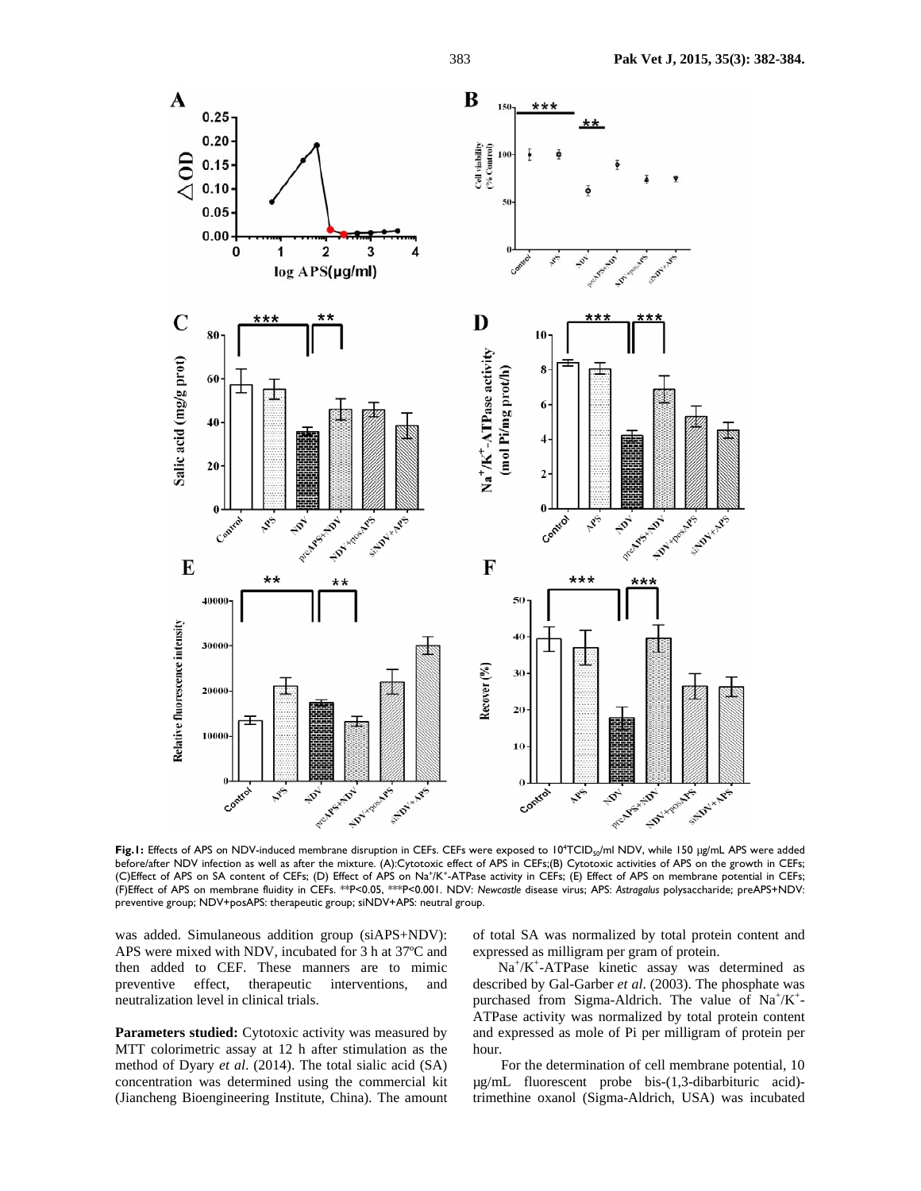

Fig.1: Effects of APS on NDV-induced membrane disruption in CEFs. CEFs were exposed to 10<sup>4</sup>TCID<sub>so</sub>/ml NDV, while 150 µg/mL APS were added before/after NDV infection as well as after the mixture. (A):Cytotoxic effect of APS in CEFs;(B) Cytotoxic activities of APS on the growth in CEFs; (C)Effect of APS on SA content of CEFs; (D) Effect of APS on Na<sup>+</sup>/K<sup>+</sup>-ATPase activity in CEFs; (E) Effect of APS on membrane potential in CEFs; (F)Effect of APS on membrane fluidity in CEFs. \*\*P<0.05, \*\*\*P<0.001. NDV: *Newcastle* disease virus; APS: *Astragalus* polysaccharide; preAPS+NDV: preventive group; NDV+posAPS: therapeutic group; siNDV+APS: neutral group.

was added. Simulaneous addition group (siAPS+NDV): APS were mixed with NDV, incubated for 3 h at 37ºC and then added to CEF. These manners are to mimic preventive effect, therapeutic interventions, and neutralization level in clinical trials.

Parameters studied: Cytotoxic activity was measured by MTT colorimetric assay at 12 h after stimulation as the method of Dyary *et al*. (2014). The total sialic acid (SA) concentration was determined using the commercial kit (Jiancheng Bioengineering Institute, China). The amount

of total SA was normalized by total protein content and expressed as milligram per gram of protein.

Na+ /K+ -ATPase kinetic assay was determined as described by Gal-Garber *et al*. (2003). The phosphate was purchased from Sigma-Aldrich. The value of  $Na^+/K^+$ -ATPase activity was normalized by total protein content and expressed as mole of Pi per milligram of protein per hour.

For the determination of cell membrane potential, 10 µg/mL fluorescent probe bis-(1,3-dibarbituric acid) trimethine oxanol (Sigma-Aldrich, USA) was incubated